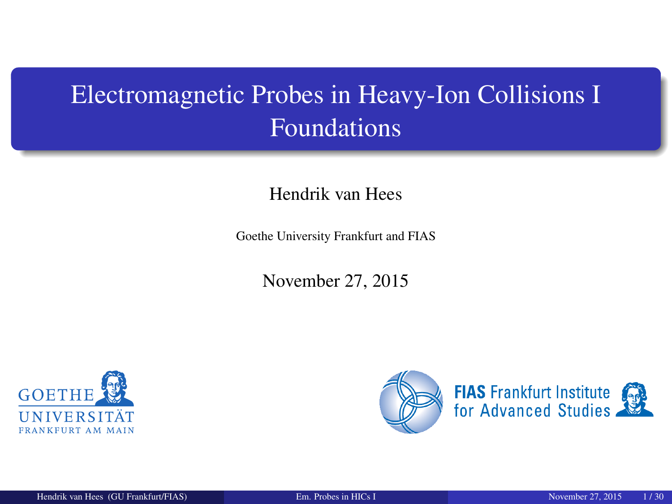# <span id="page-0-0"></span>Electromagnetic Probes in Heavy-Ion Collisions I Foundations

#### Hendrik van Hees

Goethe University Frankfurt and FIAS

November 27, 2015



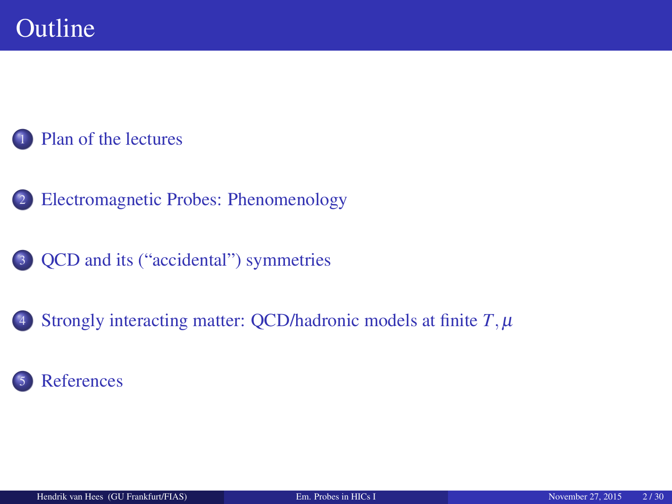#### [Plan of the lectures](#page-2-0)

- <sup>2</sup> [Electromagnetic Probes: Phenomenology](#page-3-0)
- <sup>3</sup> [QCD and its \("accidental"\) symmetries](#page-7-0)
- 4 [Strongly interacting matter: QCD/hadronic models at finite](#page-18-0)  $T, \mu$

#### **[References](#page-26-0)**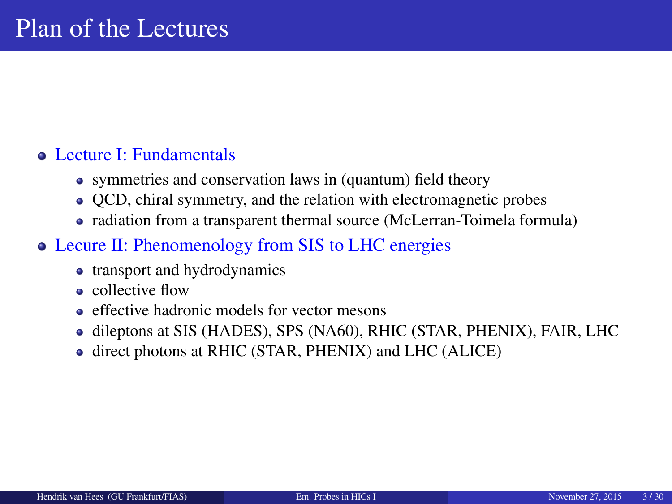#### <span id="page-2-0"></span>• Lecture I: Fundamentals

- symmetries and conservation laws in (quantum) field theory
- QCD, chiral symmetry, and the relation with electromagnetic probes
- radiation from a transparent thermal source (McLerran-Toimela formula)

#### Lecure II: Phenomenology from SIS to LHC energies

- transport and hydrodynamics
- collective flow
- e effective hadronic models for vector mesons
- dileptons at SIS (HADES), SPS (NA60), RHIC (STAR, PHENIX), FAIR, LHC
- direct photons at RHIC (STAR, PHENIX) and LHC (ALICE)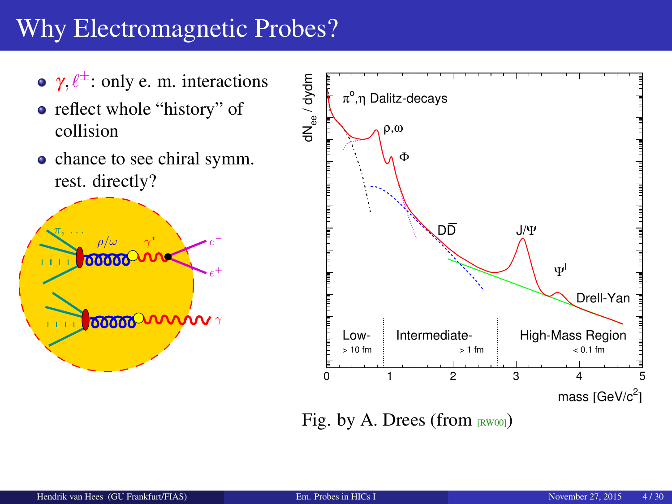# <span id="page-3-0"></span>Why Electromagnetic Probes?

- $\gamma$ ,  $\ell^{\pm}$ : only e. m. interactions
- reflect whole "history" of collision
- chance to see chiral symm. rest. directly?





Fig. by A. Drees (from  $[Row00]$ )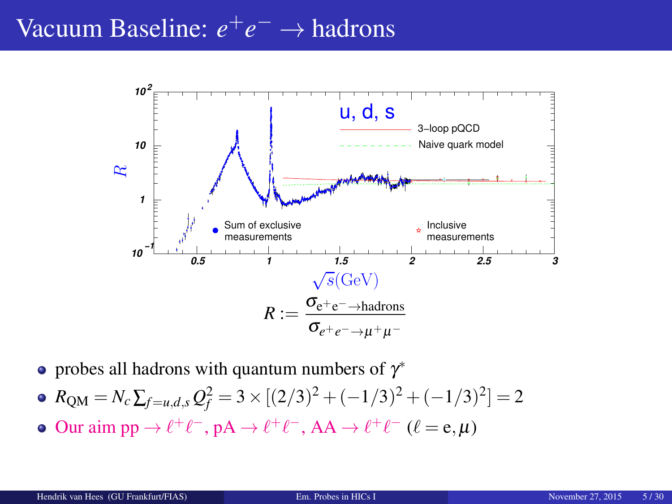# Vacuum Baseline: *e*<sup>+</sup>*e*<sup>−</sup> → hadrons



probes all hadrons with quantum numbers of  $\gamma^*$ 

• 
$$
R_{\text{QM}} = N_c \sum_{f=u,d,s} Q_f^2 = 3 \times [(2/3)^2 + (-1/3)^2 + (-1/3)^2] = 2
$$

Our aim pp  $\rightarrow \ell^+ \ell^-$ , pA  $\rightarrow \ell^+ \ell^-$ , AA  $\rightarrow \ell^+ \ell^-$  ( $\ell = e, \mu$ )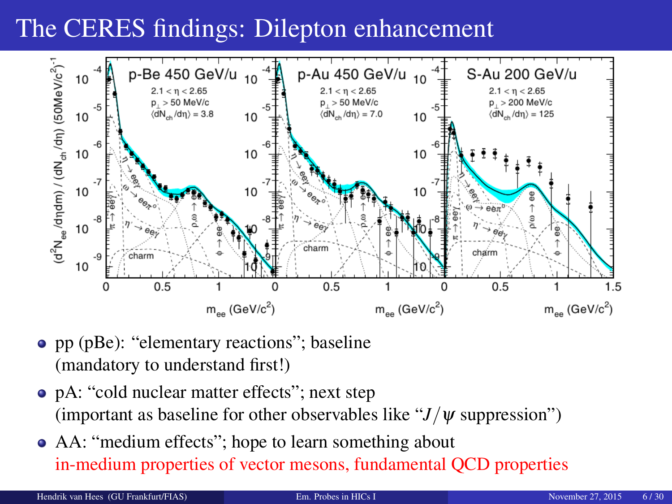# The CERES findings: Dilepton enhancement



- pp (pBe): "elementary reactions"; baseline (mandatory to understand first!)
- pA: "cold nuclear matter effects"; next step (important as baseline for other observables like " $J/\psi$  suppression")
- AA: "medium effects"; hope to learn something about in-medium properties of vector mesons, fundamental QCD properties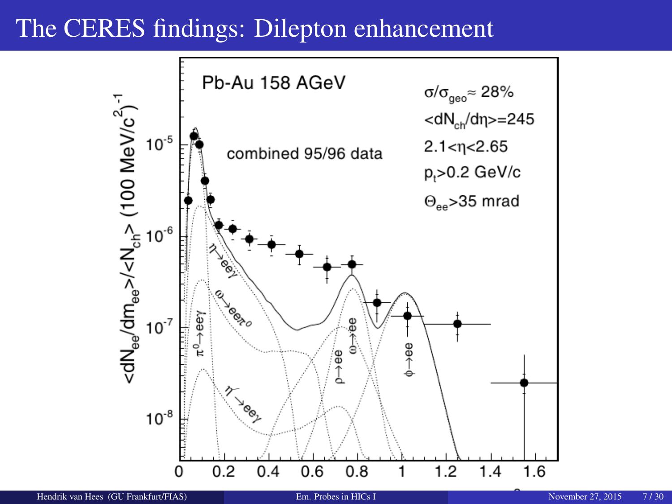#### The CERES findings: Dilepton enhancement

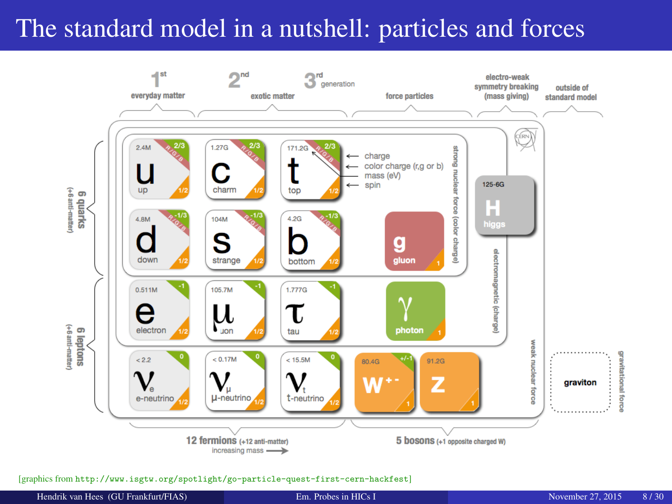# <span id="page-7-0"></span>The standard model in a nutshell: particles and forces



[graphics from <http://www.isgtw.org/spotlight/go-particle-quest-first-cern-hackfest>]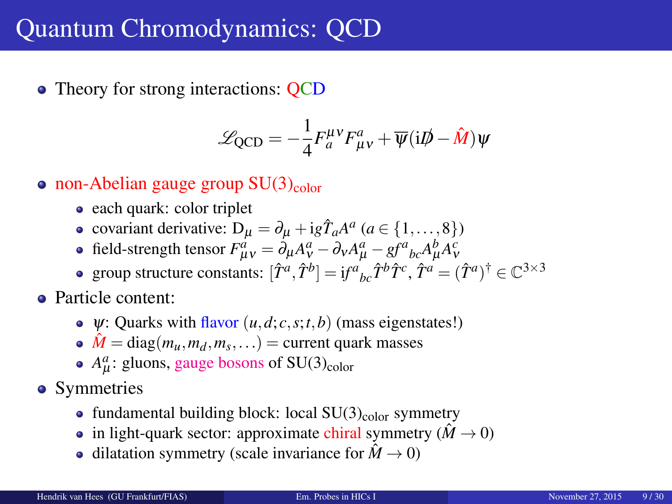### Quantum Chromodynamics: QCD

• Theory for strong interactions: QCD

$$
\mathcal{L}_{\text{QCD}} = -\frac{1}{4} F_a^{\mu\nu} F_{\mu\nu}^a + \overline{\psi} (i\rlap{/}D - \hat{M}) \psi
$$

- non-Abelian gauge group  $SU(3)_{\text{color}}$ 
	- each quark: color triplet
	- covariant derivative:  $D_{\mu} = \partial_{\mu} + ig\hat{T}_a A^a$  ( $a \in \{1, ..., 8\}$ )
	- field-strength tensor  $F^a_{\mu\nu} = \partial_\mu A^a_\nu \partial_\nu A^a_\mu gf^a{}_{bc}A^b_\mu A^c_\nu$
	- group structure constants:  $[\hat{T}^a, \hat{T}^b] = if^a{}_{bc} \hat{T}^b \hat{T}^c$ ,  $\hat{T}^a = (\hat{T}^a)^{\dagger} \in \mathbb{C}^{3 \times 3}$
- Particle content:
	- $\Psi$ : Quarks with flavor  $(u, d, c, s; t, b)$  (mass eigenstates!)
	- $\hat{M} = \text{diag}(m_u, m_d, m_s, \ldots) = \text{current quark masses}$
	- $A_{\mu}^{a}$ : gluons, gauge bosons of SU(3)<sub>color</sub>
- Symmetries
	- fundamental building block: local  $SU(3)_{\text{color}}$  symmetry
	- in light-quark sector: approximate chiral symmetry ( $\hat{M} \rightarrow 0$ )
	- dilatation symmetry (scale invariance for  $\hat{M} \rightarrow 0$ )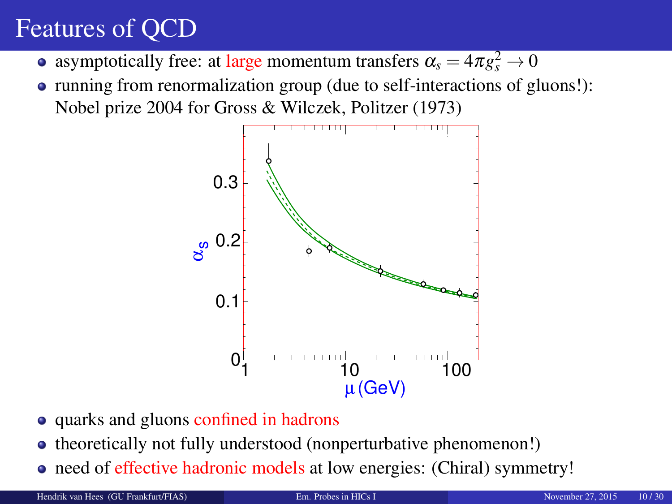# Features of QCD

- asymptotically free: at large momentum transfers  $\alpha_s = 4\pi g_s^2 \rightarrow 0$
- running from renormalization group (due to self-interactions of gluons!): Nobel prize 2004 for Gross & Wilczek, Politzer (1973)



- quarks and gluons confined in hadrons
- theoretically not fully understood (nonperturbative phenomenon!)
- need of effective hadronic models at low energies: (Chiral) symmetry!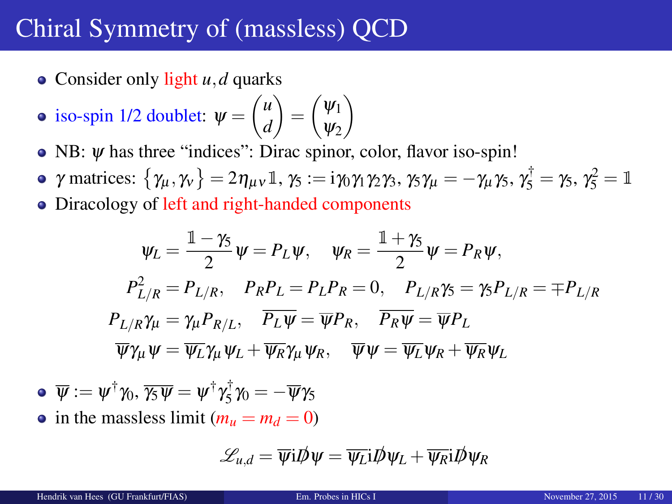# Chiral Symmetry of (massless) QCD

• Consider only light *u*, *d* quarks

• iso-spin 1/2 doublet: 
$$
\psi = \begin{pmatrix} u \\ d \end{pmatrix} = \begin{pmatrix} \psi_1 \\ \psi_2 \end{pmatrix}
$$

- NB: *ψ* has three "indices": Dirac spinor, color, flavor iso-spin!
- $\gamma$  matrices:  $\{\gamma_{\mu}, \gamma_{\nu}\} = 2\eta_{\mu\nu}\mathbb{1}, \gamma_5 := i\gamma_0\gamma_1\gamma_2\gamma_3, \gamma_5\gamma_{\mu} = -\gamma_{\mu}\gamma_5, \gamma_5^{\dagger} = \gamma_5, \gamma_5^2 = \mathbb{1}$
- Diracology of left and right-handed components

$$
\psi_L = \frac{\mathbb{1} - \gamma_5}{2} \psi = P_L \psi, \quad \psi_R = \frac{\mathbb{1} + \gamma_5}{2} \psi = P_R \psi,
$$
  
\n
$$
P_{L/R}^2 = P_{L/R}, \quad P_R P_L = P_L P_R = 0, \quad P_{L/R} \gamma_5 = \gamma_5 P_{L/R} = \mp P_{L/R}
$$
  
\n
$$
P_{L/R} \gamma_\mu = \gamma_\mu P_{R/L}, \quad \overline{P_L \psi} = \overline{\psi} P_R, \quad \overline{P_R \psi} = \overline{\psi} P_L
$$
  
\n
$$
\overline{\psi} \gamma_\mu \psi = \overline{\psi_L} \gamma_\mu \psi_L + \overline{\psi_R} \gamma_\mu \psi_R, \quad \overline{\psi} \psi = \overline{\psi_L} \psi_R + \overline{\psi_R} \psi_L
$$

$$
\bullet \ \overline{\psi} := \psi^{\dagger} \gamma_0, \overline{\gamma_5 \psi} = \psi^{\dagger} \gamma_5^{\dagger} \gamma_0 = -\overline{\psi} \gamma_5
$$

• in the massless limit  $(m_u = m_d = 0)$ 

$$
\mathscr{L}_{u,d}=\overline{\psi}i\rlap{\,/}D\psi=\overline{\psi_L}i\rlap{\,/}D\psi_L+\overline{\psi_R}i\rlap{\,/}D\psi_R
$$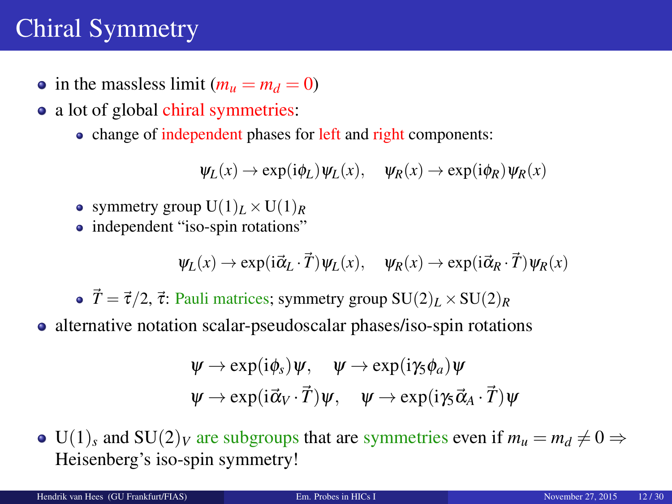# Chiral Symmetry

- in the massless limit  $(m_u = m_d = 0)$
- a lot of global chiral symmetries:
	- change of independent phases for left and right components:

$$
\psi_L(x) \to \exp(i\phi_L)\psi_L(x), \quad \psi_R(x) \to \exp(i\phi_R)\psi_R(x)
$$

- symmetry group  $U(1)_L \times U(1)_R$
- independent "iso-spin rotations"

$$
\psi_L(x) \to \exp(i\vec{\alpha}_L \cdot \vec{T}) \psi_L(x), \quad \psi_R(x) \to \exp(i\vec{\alpha}_R \cdot \vec{T}) \psi_R(x)
$$

•  $\vec{T} = \vec{\tau}/2$ ,  $\vec{\tau}$ : Pauli matrices; symmetry group  $SU(2)_L \times SU(2)_R$ 

• alternative notation scalar-pseudoscalar phases/iso-spin rotations

$$
\psi \to \exp(i\phi_s)\psi, \quad \psi \to \exp(i\gamma_s\phi_a)\psi \n\psi \to \exp(i\vec{\alpha}_V \cdot \vec{T})\psi, \quad \psi \to \exp(i\gamma_s\vec{\alpha}_A \cdot \vec{T})\psi
$$

 $\bullet$  U(1)<sub>s</sub> and SU(2)<sub>V</sub> are subgroups that are symmetries even if  $m_u = m_d \neq 0 \Rightarrow$ Heisenberg's iso-spin symmetry!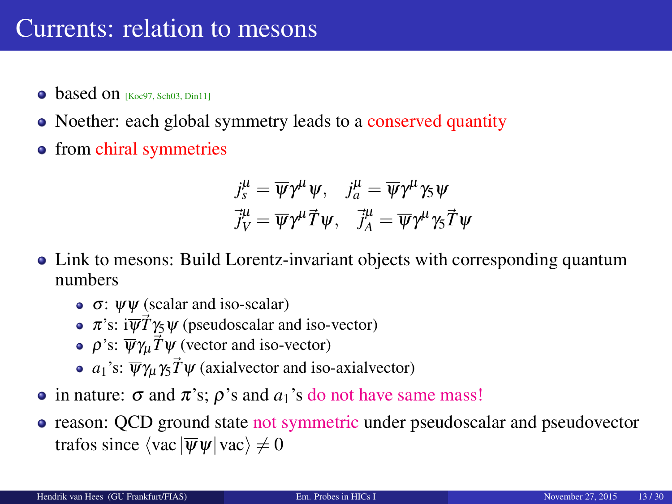- $\bullet$  based on [\[Koc97,](#page-27-0) [Sch03,](#page-28-1) [Din11\]](#page-26-1)
- Noether: each global symmetry leads to a conserved quantity
- from chiral symmetries

$$
\begin{aligned}\nj_s^\mu &= \overline{\psi} \gamma^\mu \psi, \quad j_a^\mu = \overline{\psi} \gamma^\mu \gamma_5 \psi, \\
\overline{j}_V^\mu &= \overline{\psi} \gamma^\mu \overline{T} \psi, \quad \overline{j}_A^\mu = \overline{\psi} \gamma^\mu \gamma_5 \overline{T} \psi\n\end{aligned}
$$

- Link to mesons: Build Lorentz-invariant objects with corresponding quantum numbers
	- $\bullet$   $\sigma$ :  $\overline{\Psi}\Psi$  (scalar and iso-scalar)
	- $\pi$ 's: i $\overline{\psi}$ *T* $\gamma$ <sub>5</sub> $\psi$  (pseudoscalar and iso-vector)
	- $ρ's: \overline{\psi} \gamma_\mu \vec{T} \psi$  (vector and iso-vector)
	- $a_1$ 's:  $\overline{\psi}\gamma_\mu\gamma_5 \overline{T}\psi$  (axialvector and iso-axialvector)
- in nature:  $\sigma$  and  $\pi$ 's;  $\rho$ 's and  $a_1$ 's do not have same mass!
- reason: OCD ground state not symmetric under pseudoscalar and pseudovector trafos since  $\langle vac | \overline{\psi}\psi | vac \rangle \neq 0$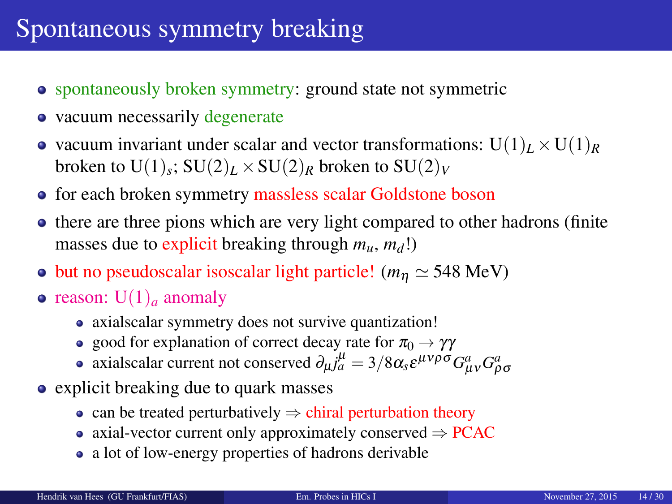# Spontaneous symmetry breaking

- spontaneously broken symmetry: ground state not symmetric
- vacuum necessarily degenerate
- vacuum invariant under scalar and vector transformations:  $U(1)_L \times U(1)_R$ broken to  $\mathrm{U}(1)_s$ ;  $\mathrm{SU}(2)_L \times \mathrm{SU}(2)_R$  broken to  $\mathrm{SU}(2)_V$
- for each broken symmetry massless scalar Goldstone boson
- there are three pions which are very light compared to other hadrons (finite) masses due to explicit breaking through  $m_u$ ,  $m_d$ !)
- but no pseudoscalar isoscalar light particle! ( $m_n \simeq 548$  MeV)
- reason:  $U(1)$ <sub>*a*</sub> anomaly
	- axialscalar symmetry does not survive quantization!
	- good for explanation of correct decay rate for  $\pi_0 \rightarrow \gamma \gamma$
	- axialscalar current not conserved  $\partial_\mu j_a^\mu = 3/8 \alpha_s \varepsilon^{\mu\nu\rho\sigma} G^a_{\mu\nu} G^a_{\rho\sigma}$
- explicit breaking due to quark masses
	- can be treated perturbatively  $\Rightarrow$  chiral perturbation theory
	- axial-vector current only approximately conserved  $\Rightarrow$  PCAC
	- a lot of low-energy properties of hadrons derivable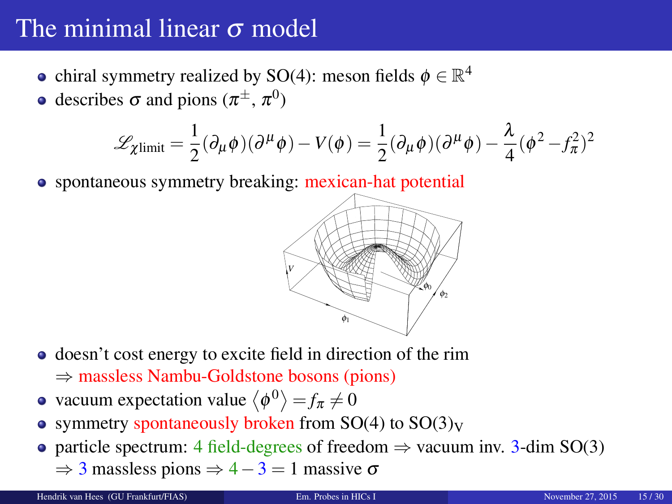# The minimal linear  $\sigma$  model

- chiral symmetry realized by SO(4): meson fields  $\phi \in \mathbb{R}^4$
- describes  $\sigma$  and pions  $(\pi^{\pm}, \pi^0)$

$$
\mathscr{L}_{\chi\text{limit}} = \frac{1}{2} (\partial_{\mu} \phi)(\partial^{\mu} \phi) - V(\phi) = \frac{1}{2} (\partial_{\mu} \phi)(\partial^{\mu} \phi) - \frac{\lambda}{4} (\phi^2 - f_{\pi}^2)^2
$$

• spontaneous symmetry breaking: mexican-hat potential



- doesn't cost energy to excite field in direction of the rim
	- ⇒ massless Nambu-Goldstone bosons (pions)
- vacuum expectation value  $\langle \phi^0 \rangle = f_\pi \neq 0$
- symmetry spontaneously broken from  $SO(4)$  to  $SO(3)<sub>V</sub>$
- particle spectrum: 4 field-degrees of freedom  $\Rightarrow$  vacuum inv. 3-dim SO(3)
	- $\Rightarrow$  3 massless pions  $\Rightarrow$  4 3 = 1 massive  $\sigma$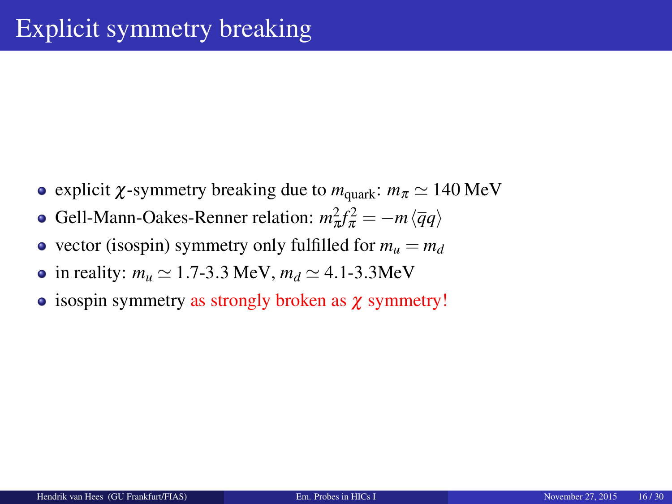- explicit *χ*-symmetry breaking due to  $m_{\text{quark}}$ :  $m_\pi \simeq 140 \text{ MeV}$
- Gell-Mann-Oakes-Renner relation:  $m_{\pi}^2 f_{\pi}^2 = -m \langle \overline{q} q \rangle$
- vector (isospin) symmetry only fulfilled for  $m_u = m_d$
- in reality:  $m_u \approx 1.7$ -3.3 MeV,  $m_d \approx 4.1$ -3.3MeV
- $\bullet$  isospin symmetry as strongly broken as  $\chi$  symmetry!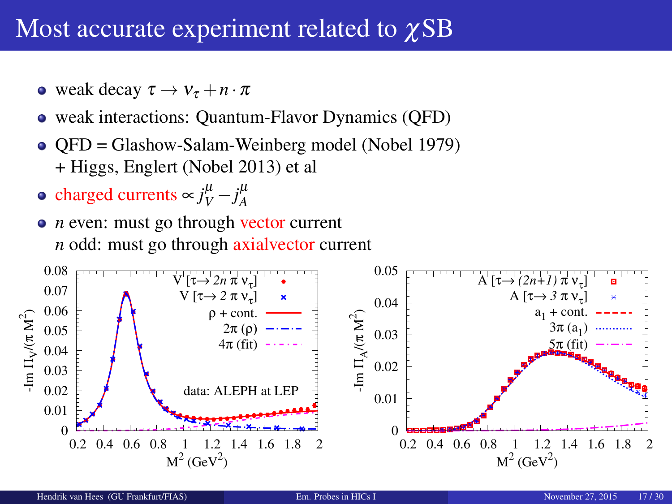### Most accurate experiment related to *χSB*

- weak decay  $\tau \to v_\tau + n \cdot \pi$
- weak interactions: Quantum-Flavor Dynamics (QFD)
- QFD = Glashow-Salam-Weinberg model (Nobel 1979) + Higgs, Englert (Nobel 2013) et al
- charged currents  $\sim j_V^{\mu} j_A^{\mu}$
- *n* even: must go through vector current *n* odd: must go through axialvector current

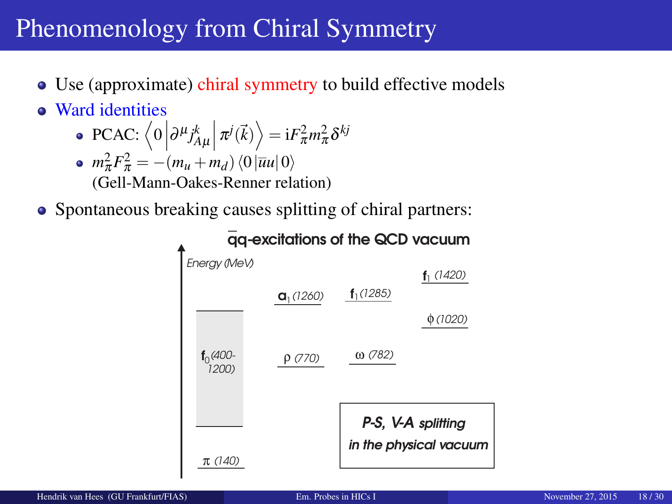# Phenomenology from Chiral Symmetry

- Use (approximate) chiral symmetry to build effective models
- Ward identities
	- $\text{PCAC: } \left\langle 0 \left| \partial^{\mu} j_{A\mu}^{k} \right| \pi^{j}(\vec{k}) \right\rangle = \text{i} F_{\pi}^{2} m_{\pi}^{2} \delta^{kj}$
	- $m_{\pi}^2 F_{\pi}^2 = -(m_u + m_d) \langle 0 | \overline{u}u | 0 \rangle$ (Gell-Mann-Oakes-Renner relation)
- Spontaneous breaking causes splitting of chiral partners:

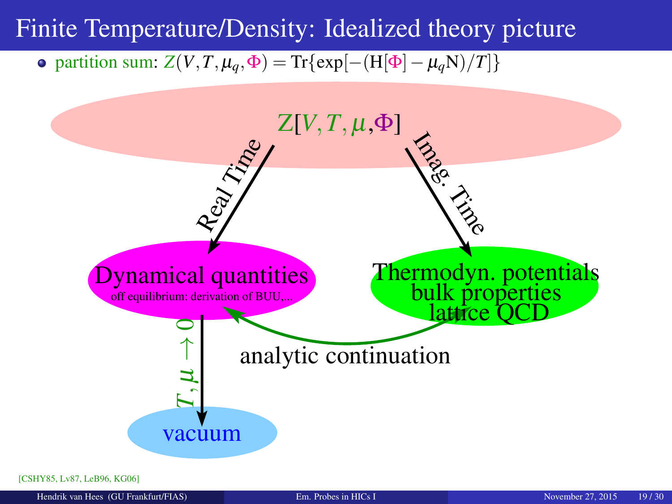#### <span id="page-18-0"></span>Finite Temperature/Density: Idealized theory picture

 $\phi$  partition sum: *Z*(*V*,*T*, μ<sub>*q*</sub>,  $\Phi$ ) = Tr{exp[−(H[ $\Phi$ ] − μ<sub>*q*</sub>N</sub>)/*T*]}



[\[CSHY85,](#page-26-2) [Lv87,](#page-27-1) [LeB96,](#page-27-2) [KG06\]](#page-27-3)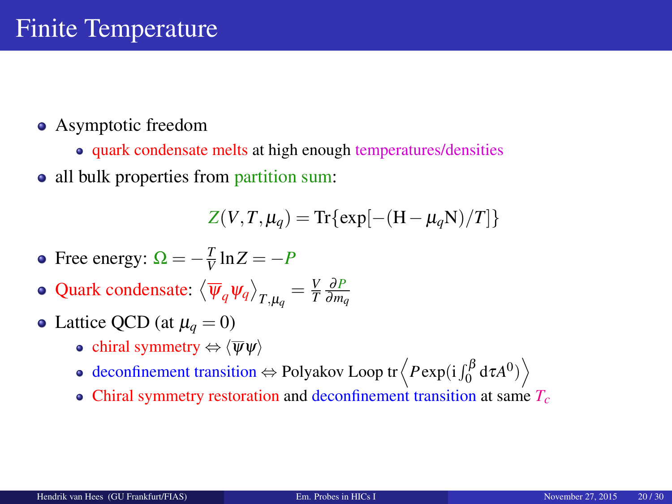- Asymptotic freedom
	- quark condensate melts at high enough temperatures/densities
- all bulk properties from partition sum:

$$
Z(V,T,\mu_q) = \text{Tr}\{\exp[-(\text{H}-\mu_q\text{N})/T]\}
$$

- Free energy:  $\Omega = -\frac{T}{V} \ln Z = -P$
- Quark condensate:  $\langle \overline{\psi}_q \psi_q \rangle_{T,\mu_q} = \frac{V}{T} \frac{\partial P}{\partial m_q}$
- Lattice QCD (at  $\mu_a = 0$ )
	- chiral symmetry  $\Leftrightarrow \langle \overline{\psi} \psi \rangle$
	- deconfinement transition  $\Leftrightarrow$  Polyakov Loop tr $\left\langle P \exp(\mathrm{i} \int_0^\beta \mathrm{d} \tau A^0) \right\rangle$
	- Chiral symmetry restoration and deconfinement transition at same *Tc*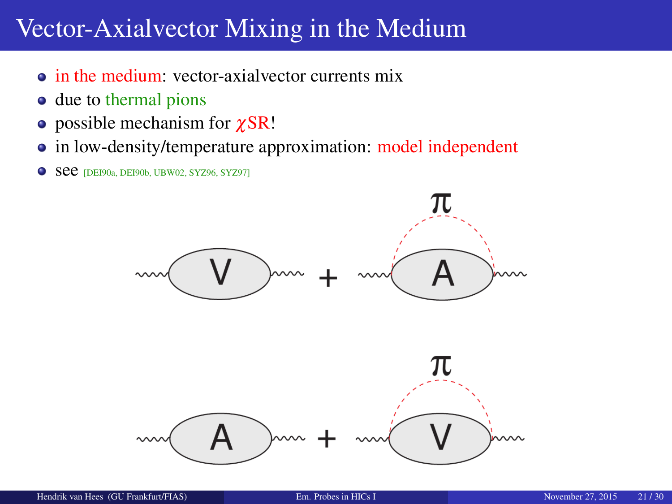### Vector-Axialvector Mixing in the Medium

- in the medium: vector-axialvector currents mix
- due to thermal pions
- $\bullet$  possible mechanism for  $\gamma$ SR!
- in low-density/temperature approximation: model independent
- **See** [\[DEI90a,](#page-26-3) [DEI90b,](#page-26-4) [UBW02,](#page-29-1) [SYZ96,](#page-28-2) [SYZ97\]](#page-28-3)

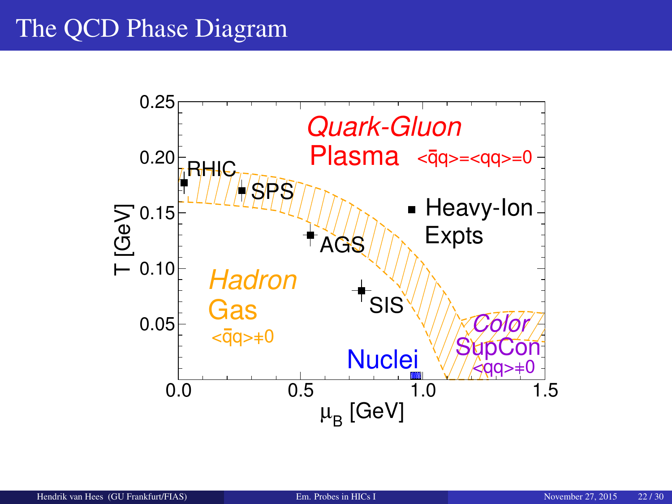# The QCD Phase Diagram

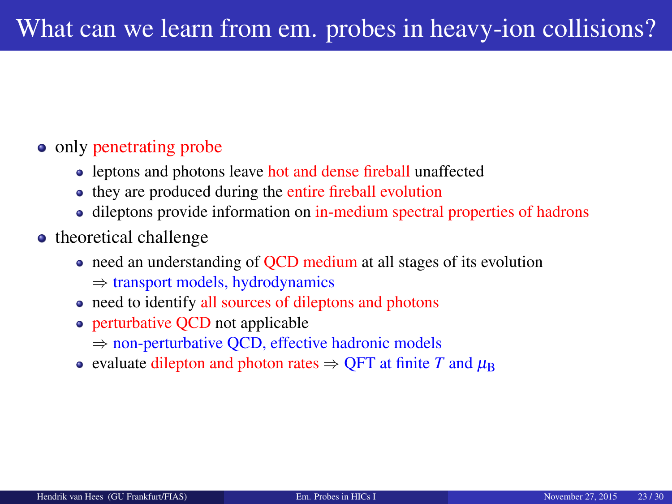#### • only penetrating probe

- leptons and photons leave hot and dense fireball unaffected
- they are produced during the entire fireball evolution
- dileptons provide information on in-medium spectral properties of hadrons
- theoretical challenge
	- need an understanding of OCD medium at all stages of its evolution ⇒ transport models, hydrodynamics
	- need to identify all sources of dileptons and photons
	- perturbative QCD not applicable
		- ⇒ non-perturbative QCD, effective hadronic models
	- evaluate dilepton and photon rates  $\Rightarrow$  OFT at finite *T* and  $\mu_B$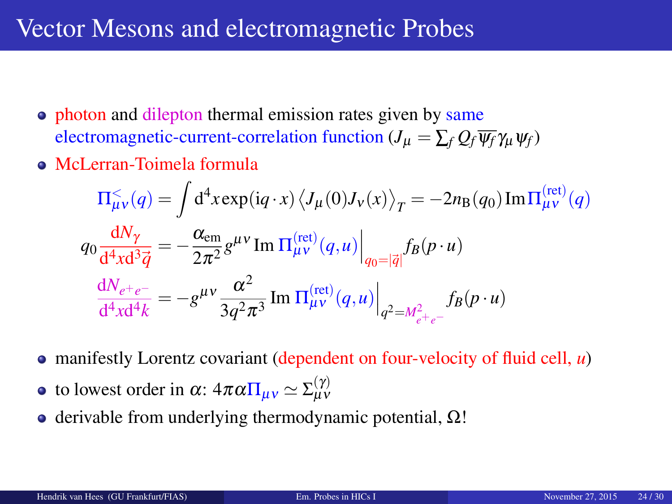### Vector Mesons and electromagnetic Probes

- photon and dilepton thermal emission rates given by same electromagnetic-current-correlation function ( $J_\mu = \sum_f Q_f \overline{\psi_f} \gamma_\mu \psi_f$ )
- McLerran-Toimela formula

$$
\Pi_{\mu\nu}^{\leq}(q) = \int d^4x \exp(iq \cdot x) \left\langle J_{\mu}(0)J_{\nu}(x) \right\rangle_T = -2n_B(q_0) \operatorname{Im} \Pi_{\mu\nu}^{(\text{ret})}(q)
$$

$$
q_0 \frac{dN_{\gamma}}{d^4x d^3 \vec{q}} = -\frac{\alpha_{\text{em}}}{2\pi^2} g^{\mu\nu} \operatorname{Im} \Pi_{\mu\nu}^{(\text{ret})}(q, u) \Big|_{q_0 = |\vec{q}|} f_B(p \cdot u)
$$

$$
\frac{dN_{e^+e^-}}{d^4x d^4 k} = -g^{\mu\nu} \frac{\alpha^2}{3q^2 \pi^3} \operatorname{Im} \Pi_{\mu\nu}^{(\text{ret})}(q, u) \Big|_{q^2 = M_{e^+e^-}^2} f_B(p \cdot u)
$$

- manifestly Lorentz covariant (dependent on four-velocity of fluid cell, *u*)
- to lowest order in  $\alpha$ :  $4\pi\alpha\Pi_{\mu\nu} \simeq \Sigma_{\mu\nu}^{(\gamma)}$
- $\bullet$  derivable from underlying thermodynamic potential,  $\Omega$ !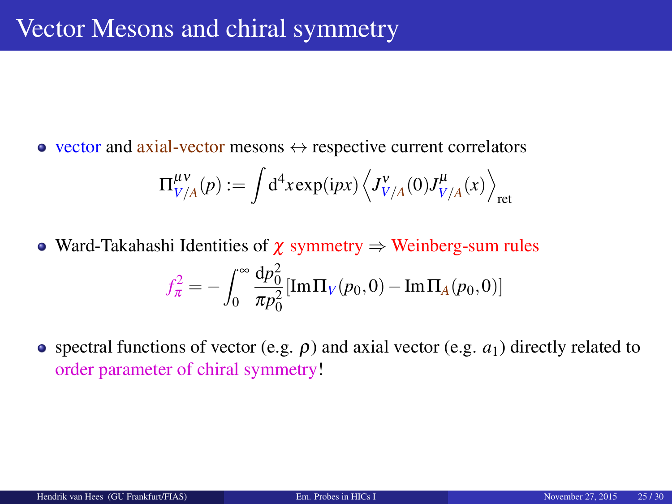• vector and axial-vector mesons  $\leftrightarrow$  respective current correlators

$$
\Pi_{V/A}^{\mu\nu}(p) := \int d^4x \exp(ipx) \left\langle J_{V/A}^{\nu}(0)J_{V/A}^{\mu}(x) \right\rangle_{\text{ret}}
$$

- Ward-Takahashi Identities of  $\chi$  symmetry  $\Rightarrow$  Weinberg-sum rules  $f_{\pi}^{2} = -\int_{0}^{\infty}$  $\boldsymbol{0}$  $dp_0^2$  $\frac{dP_0}{dP_0^2}$  [Im  $\Pi_V(p_0, 0) - \text{Im }\Pi_A(p_0, 0)$ ]
- $\bullet$  spectral functions of vector (e.g.  $\rho$ ) and axial vector (e.g.  $a_1$ ) directly related to order parameter of chiral symmetry!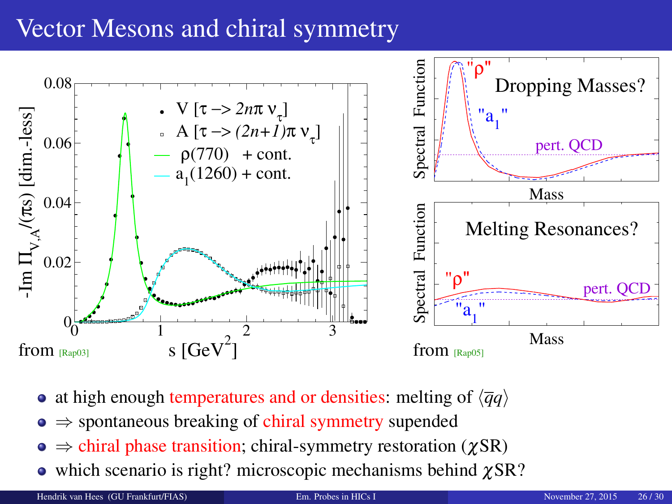# Vector Mesons and chiral symmetry



- at high enough temperatures and or densities: melting of  $\langle \overline{q}q \rangle$
- $\bullet \Rightarrow$  spontaneous breaking of chiral symmetry supended
- $\bullet \Rightarrow$  chiral phase transition; chiral-symmetry restoration ( $\gamma$ SR)
- $\bullet$  which scenario is right? microscopic mechanisms behind  $\gamma$ SR?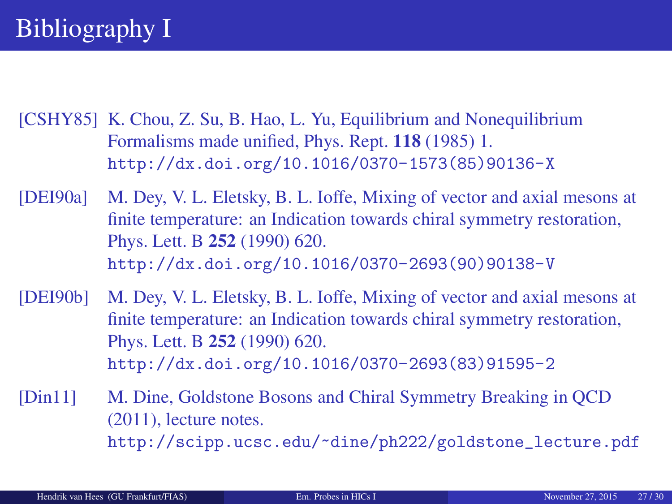<span id="page-26-2"></span><span id="page-26-0"></span>[CSHY85] K. Chou, Z. Su, B. Hao, L. Yu, Equilibrium and Nonequilibrium Formalisms made unified, Phys. Rept. 118 (1985) 1. [http://dx.doi.org/10.1016/0370-1573\(85\)90136-X](http://dx.doi.org/10.1016/0370-1573(85)90136-X)

<span id="page-26-3"></span>[DEI90a] M. Dey, V. L. Eletsky, B. L. Ioffe, Mixing of vector and axial mesons at finite temperature: an Indication towards chiral symmetry restoration, Phys. Lett. B 252 (1990) 620. [http://dx.doi.org/10.1016/0370-2693\(90\)90138-V](http://dx.doi.org/10.1016/0370-2693(90)90138-V)

<span id="page-26-4"></span>[DEI90b] M. Dey, V. L. Eletsky, B. L. Ioffe, Mixing of vector and axial mesons at finite temperature: an Indication towards chiral symmetry restoration, Phys. Lett. B 252 (1990) 620. [http://dx.doi.org/10.1016/0370-2693\(83\)91595-2](http://dx.doi.org/10.1016/0370-2693(83)91595-2)

<span id="page-26-1"></span>[Din11] M. Dine, Goldstone Bosons and Chiral Symmetry Breaking in QCD (2011), lecture notes. [http://scipp.ucsc.edu/~dine/ph222/goldstone\\_lecture.pdf](http://scipp.ucsc.edu/~dine/ph222/goldstone_lecture.pdf)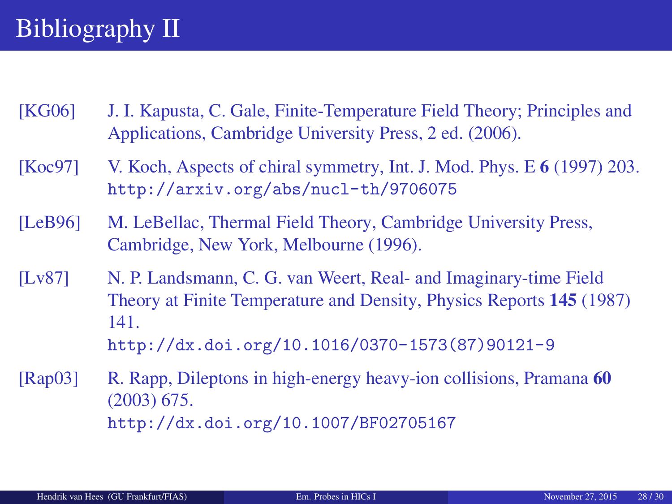# Bibliography II

- <span id="page-27-3"></span>[KG06] J. I. Kapusta, C. Gale, Finite-Temperature Field Theory; Principles and Applications, Cambridge University Press, 2 ed. (2006).
- <span id="page-27-0"></span>[Koc97] V. Koch, Aspects of chiral symmetry, Int. J. Mod. Phys. E 6 (1997) 203. <http://arxiv.org/abs/nucl-th/9706075>
- <span id="page-27-2"></span>[LeB96] M. LeBellac, Thermal Field Theory, Cambridge University Press, Cambridge, New York, Melbourne (1996).
- <span id="page-27-1"></span>[Lv87] N. P. Landsmann, C. G. van Weert, Real- and Imaginary-time Field Theory at Finite Temperature and Density, Physics Reports 145 (1987) 141. [http://dx.doi.org/10.1016/0370-1573\(87\)90121-9](http://dx.doi.org/10.1016/0370-1573(87)90121-9)

<span id="page-27-4"></span>[Rap03] R. Rapp, Dileptons in high-energy heavy-ion collisions, Pramana 60 (2003) 675. <http://dx.doi.org/10.1007/BF02705167>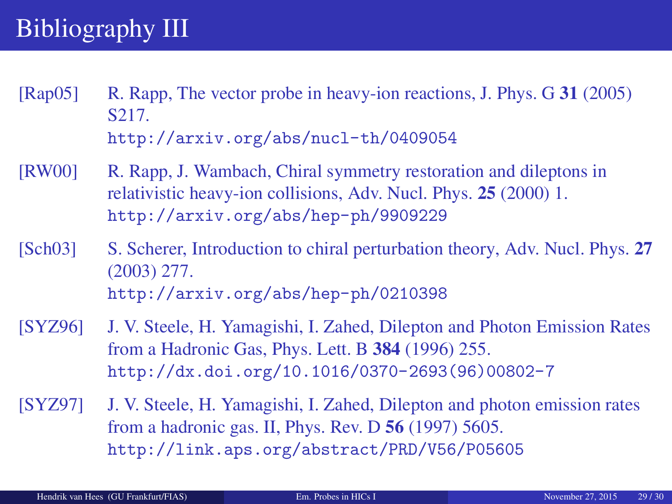# Bibliography III

- <span id="page-28-4"></span>[Rap05] R. Rapp, The vector probe in heavy-ion reactions, J. Phys. G 31 (2005) S217. <http://arxiv.org/abs/nucl-th/0409054>
- <span id="page-28-0"></span>[RW00] R. Rapp, J. Wambach, Chiral symmetry restoration and dileptons in relativistic heavy-ion collisions, Adv. Nucl. Phys. 25 (2000) 1. <http://arxiv.org/abs/hep-ph/9909229>
- <span id="page-28-1"></span>[Sch03] S. Scherer, Introduction to chiral perturbation theory, Adv. Nucl. Phys. 27 (2003) 277. <http://arxiv.org/abs/hep-ph/0210398>
- <span id="page-28-2"></span>[SYZ96] J. V. Steele, H. Yamagishi, I. Zahed, Dilepton and Photon Emission Rates from a Hadronic Gas, Phys. Lett. B 384 (1996) 255. [http://dx.doi.org/10.1016/0370-2693\(96\)00802-7](http://dx.doi.org/10.1016/0370-2693(96)00802-7)
- <span id="page-28-3"></span>[SYZ97] J. V. Steele, H. Yamagishi, I. Zahed, Dilepton and photon emission rates from a hadronic gas. II, Phys. Rev. D 56 (1997) 5605. <http://link.aps.org/abstract/PRD/V56/P05605>